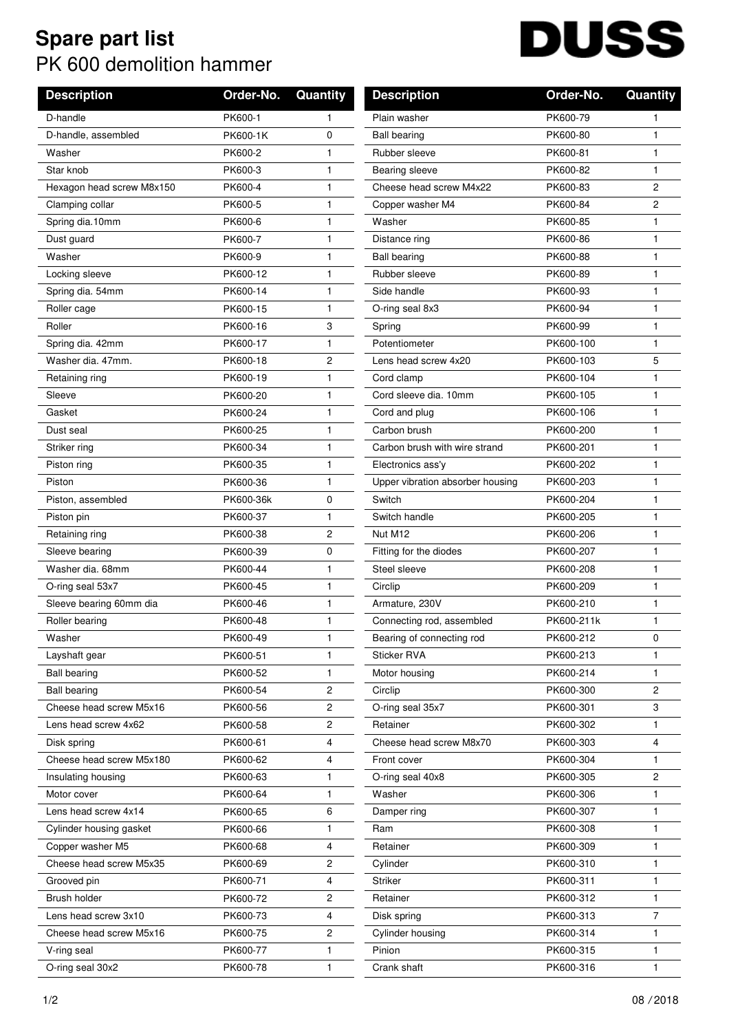## **Spare part list** PK 600 demolition hammer

| <b>Description</b>        | Order-No. | <b>Quantity</b> | <b>Description</b>               | Order-No.  | Quantity              |
|---------------------------|-----------|-----------------|----------------------------------|------------|-----------------------|
| D-handle                  | PK600-1   | 1               | Plain washer                     | PK600-79   |                       |
| D-handle, assembled       | PK600-1K  | 0               | <b>Ball bearing</b>              | PK600-80   | 1                     |
| Washer                    | PK600-2   | 1               | Rubber sleeve                    | PK600-81   | 1                     |
| Star knob                 | PK600-3   | 1               | Bearing sleeve                   | PK600-82   | 1                     |
| Hexagon head screw M8x150 | PK600-4   | $\mathbf{1}$    | Cheese head screw M4x22          | PK600-83   | 2                     |
| Clamping collar           | PK600-5   | $\mathbf{1}$    | Copper washer M4                 | PK600-84   | $\overline{c}$        |
| Spring dia.10mm           | PK600-6   | 1               | Washer                           | PK600-85   | 1                     |
| Dust guard                | PK600-7   | 1               | Distance ring                    | PK600-86   | 1                     |
| Washer                    | PK600-9   | 1               | <b>Ball bearing</b>              | PK600-88   | 1                     |
| Locking sleeve            | PK600-12  | 1               | Rubber sleeve                    | PK600-89   | 1                     |
| Spring dia. 54mm          | PK600-14  | $\mathbf{1}$    | Side handle                      | PK600-93   | 1                     |
| Roller cage               | PK600-15  | $\mathbf{1}$    | O-ring seal 8x3                  | PK600-94   | 1                     |
| Roller                    | PK600-16  | 3               | Spring                           | PK600-99   | 1                     |
| Spring dia. 42mm          | PK600-17  | 1               | Potentiometer                    | PK600-100  | 1                     |
| Washer dia, 47mm.         | PK600-18  | 2               | Lens head screw 4x20             | PK600-103  | 5                     |
| Retaining ring            | PK600-19  | 1               | Cord clamp                       | PK600-104  | 1                     |
| Sleeve                    | PK600-20  | 1               | Cord sleeve dia, 10mm            | PK600-105  | 1                     |
| Gasket                    | PK600-24  | 1               | Cord and plug                    | PK600-106  | 1                     |
| Dust seal                 | PK600-25  | 1               | Carbon brush                     | PK600-200  | 1                     |
| Striker ring              | PK600-34  | $\mathbf{1}$    | Carbon brush with wire strand    | PK600-201  | 1                     |
| Piston ring               | PK600-35  | 1               | Electronics ass'y                | PK600-202  | 1                     |
| Piston                    | PK600-36  | 1               | Upper vibration absorber housing | PK600-203  | 1                     |
| Piston, assembled         | PK600-36k | 0               | Switch                           | PK600-204  | 1                     |
| Piston pin                | PK600-37  | 1               | Switch handle                    | PK600-205  | 1                     |
| Retaining ring            | PK600-38  | 2               | Nut M12                          | PK600-206  | 1                     |
| Sleeve bearing            | PK600-39  | 0               | Fitting for the diodes           | PK600-207  | 1                     |
| Washer dia, 68mm          | PK600-44  | 1               | Steel sleeve                     | PK600-208  | 1                     |
| O-ring seal 53x7          | PK600-45  | 1               | Circlip                          | PK600-209  | 1                     |
| Sleeve bearing 60mm dia   | PK600-46  | 1               | Armature, 230V                   | PK600-210  | 1                     |
| Roller bearing            | PK600-48  | 1               | Connecting rod, assembled        | PK600-211k | 1                     |
| Washer                    | PK600-49  | 1               | Bearing of connecting rod        | PK600-212  | 0                     |
| Layshaft gear             | PK600-51  | $\mathbf{1}$    | <b>Sticker RVA</b>               | PK600-213  | 1                     |
| <b>Ball bearing</b>       | PK600-52  | 1.              | Motor housing                    | PK600-214  | 1                     |
| <b>Ball bearing</b>       | PK600-54  | 2               | Circlip                          | PK600-300  | $\mathbf{2}^{\prime}$ |
| Cheese head screw M5x16   | PK600-56  | 2               | O-ring seal 35x7                 | PK600-301  | 3                     |
| Lens head screw 4x62      | PK600-58  | 2               | Retainer                         | PK600-302  | 1                     |
| Disk spring               | PK600-61  | 4               | Cheese head screw M8x70          | PK600-303  | 4                     |
| Cheese head screw M5x180  | PK600-62  | 4               | Front cover                      | PK600-304  | 1                     |
| Insulating housing        | PK600-63  | 1.              | O-ring seal 40x8                 | PK600-305  | $\mathbf{2}$          |
| Motor cover               | PK600-64  | 1.              | Washer                           | PK600-306  | 1                     |
| Lens head screw 4x14      | PK600-65  | 6               | Damper ring                      | PK600-307  | 1                     |
| Cylinder housing gasket   | PK600-66  | 1               | Ram                              | PK600-308  | 1                     |
| Copper washer M5          | PK600-68  | 4               | Retainer                         | PK600-309  | 1                     |
| Cheese head screw M5x35   | PK600-69  | 2               | Cylinder                         | PK600-310  | 1                     |
| Grooved pin               | PK600-71  | 4               | Striker                          | PK600-311  | 1                     |
| Brush holder              | PK600-72  | 2               | Retainer                         | PK600-312  | 1                     |
| Lens head screw 3x10      | PK600-73  | 4               | Disk spring                      | PK600-313  | $\overline{7}$        |
| Cheese head screw M5x16   | PK600-75  | 2               | Cylinder housing                 | PK600-314  | 1                     |
| V-ring seal               | PK600-77  | 1               | Pinion                           | PK600-315  | 1                     |
| O-ring seal 30x2          | PK600-78  | $\mathbf{1}$    | Crank shaft                      | PK600-316  | 1                     |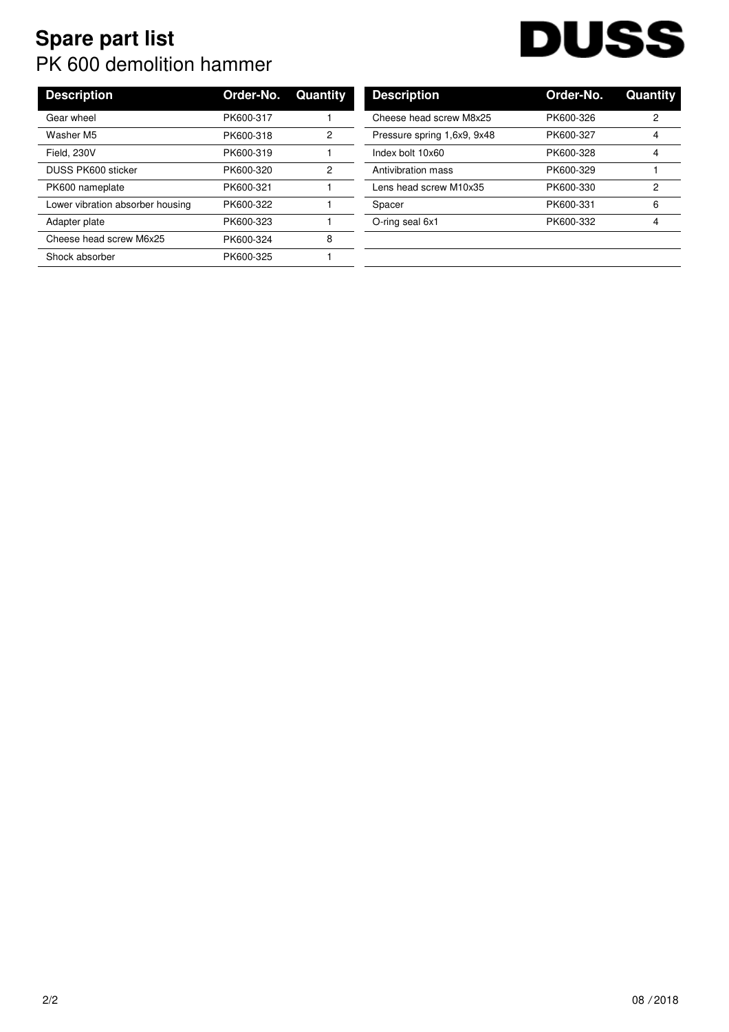## **Spare part list** PK 600 demolition hammer

| <b>Description</b>               | Order-No. | Quantity | <b>Description</b>          | Order-No. | Quan |
|----------------------------------|-----------|----------|-----------------------------|-----------|------|
| Gear wheel                       | PK600-317 |          | Cheese head screw M8x25     | PK600-326 | 2    |
| Washer M5                        | PK600-318 | 2        | Pressure spring 1,6x9, 9x48 | PK600-327 | 4    |
| Field, 230V                      | PK600-319 |          | Index bolt 10x60            | PK600-328 | 4    |
| <b>DUSS PK600 sticker</b>        | PK600-320 | 2        | Antivibration mass          | PK600-329 |      |
| PK600 nameplate                  | PK600-321 |          | Lens head screw M10x35      | PK600-330 | 2    |
| Lower vibration absorber housing | PK600-322 |          | Spacer                      | PK600-331 | 6    |
| Adapter plate                    | PK600-323 |          | O-ring seal 6x1             | PK600-332 | 4    |
| Cheese head screw M6x25          | PK600-324 | 8        |                             |           |      |
| Shock absorber                   | PK600-325 |          |                             |           |      |

| <b>Description</b>          | Order-No. | Quantity |
|-----------------------------|-----------|----------|
| Cheese head screw M8x25     | PK600-326 | 2        |
| Pressure spring 1,6x9, 9x48 | PK600-327 | 4        |
| Index bolt 10x60            | PK600-328 | 4        |
| Antivibration mass          | PK600-329 |          |
| Lens head screw M10x35      | PK600-330 | 2        |
| Spacer                      | PK600-331 | 6        |
| O-ring seal 6x1             | PK600-332 | 4        |
|                             |           |          |